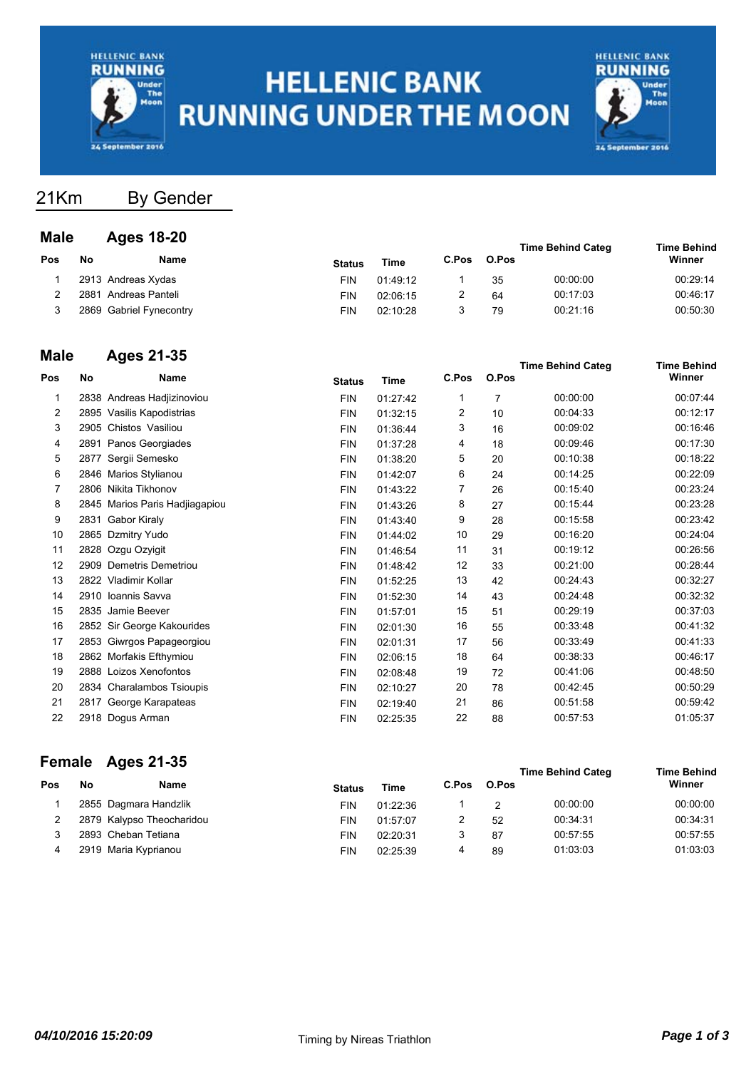

# **HELLENIC BANK RUNNING UNDER THE MOON**



## 21Km By Gender

#### **Male Ages 18-20**

|     |    |                         |               | <b>Time Behind Categ</b> |       | <b>Time Behind</b> |          |          |
|-----|----|-------------------------|---------------|--------------------------|-------|--------------------|----------|----------|
| Pos | Nο | Name                    | <b>Status</b> | Time                     | C.Pos | O.Pos              |          | Winner   |
|     |    | 2913 Andreas Xydas      | FIN           | 01:49:12                 |       | 35                 | 00:00:00 | 00:29:14 |
|     |    | 2881 Andreas Panteli    | FIN           | 02:06:15                 |       | 64                 | 00:17:03 | 00:46:17 |
|     |    | 2869 Gabriel Fynecontry | FIN           | 02:10:28                 |       | 79                 | 00:21:16 | 00:50:30 |

## **Male Ages 21-35**

| marc |      | Ayus 41-99                     |               |          |       |       | <b>Time Behind Categ</b> | <b>Time Behind</b> |
|------|------|--------------------------------|---------------|----------|-------|-------|--------------------------|--------------------|
| Pos  | No   | Name                           | <b>Status</b> | Time     | C.Pos | O.Pos |                          | Winner             |
| 1    |      | 2838 Andreas Hadjizinoviou     | <b>FIN</b>    | 01:27:42 | 1     | 7     | 00:00:00                 | 00:07:44           |
| 2    |      | 2895 Vasilis Kapodistrias      | <b>FIN</b>    | 01:32:15 | 2     | 10    | 00:04:33                 | 00:12:17           |
| 3    |      | 2905 Chistos Vasiliou          | <b>FIN</b>    | 01:36:44 | 3     | 16    | 00:09:02                 | 00:16:46           |
| 4    |      | 2891 Panos Georgiades          | <b>FIN</b>    | 01:37:28 | 4     | 18    | 00:09:46                 | 00:17:30           |
| 5    | 2877 | Sergii Semesko                 | <b>FIN</b>    | 01:38:20 | 5     | 20    | 00:10:38                 | 00:18:22           |
| 6    |      | 2846 Marios Stylianou          | <b>FIN</b>    | 01:42:07 | 6     | 24    | 00:14:25                 | 00:22:09           |
| 7    |      | 2806 Nikita Tikhonov           | <b>FIN</b>    | 01:43:22 | 7     | 26    | 00:15:40                 | 00:23:24           |
| 8    |      | 2845 Marios Paris Hadjiagapiou | <b>FIN</b>    | 01:43:26 | 8     | 27    | 00:15:44                 | 00:23:28           |
| 9    | 2831 | Gabor Kiraly                   | <b>FIN</b>    | 01:43:40 | 9     | 28    | 00:15:58                 | 00:23:42           |
| 10   |      | 2865 Dzmitry Yudo              | <b>FIN</b>    | 01:44:02 | 10    | 29    | 00:16:20                 | 00:24:04           |
| 11   |      | 2828 Ozgu Ozyigit              | <b>FIN</b>    | 01:46:54 | 11    | 31    | 00:19:12                 | 00:26:56           |
| 12   |      | 2909 Demetris Demetriou        | <b>FIN</b>    | 01:48:42 | 12    | 33    | 00:21:00                 | 00:28:44           |
| 13   |      | 2822 Vladimir Kollar           | <b>FIN</b>    | 01:52:25 | 13    | 42    | 00:24:43                 | 00:32:27           |
| 14   |      | 2910 Ioannis Savva             | <b>FIN</b>    | 01:52:30 | 14    | 43    | 00:24:48                 | 00:32:32           |
| 15   |      | 2835 Jamie Beever              | <b>FIN</b>    | 01:57:01 | 15    | 51    | 00:29:19                 | 00:37:03           |
| 16   |      | 2852 Sir George Kakourides     | <b>FIN</b>    | 02:01:30 | 16    | 55    | 00:33:48                 | 00:41:32           |
| 17   |      | 2853 Giwrgos Papageorgiou      | <b>FIN</b>    | 02:01:31 | 17    | 56    | 00:33:49                 | 00:41:33           |
| 18   |      | 2862 Morfakis Efthymiou        | <b>FIN</b>    | 02:06:15 | 18    | 64    | 00:38:33                 | 00:46:17           |
| 19   |      | 2888 Loizos Xenofontos         | <b>FIN</b>    | 02:08:48 | 19    | 72    | 00:41:06                 | 00:48:50           |
| 20   |      | 2834 Charalambos Tsioupis      | <b>FIN</b>    | 02:10:27 | 20    | 78    | 00:42:45                 | 00:50:29           |
| 21   | 2817 | George Karapateas              | <b>FIN</b>    | 02:19:40 | 21    | 86    | 00:51:58                 | 00:59:42           |
| 22   |      | 2918 Dogus Arman               | <b>FIN</b>    | 02:25:35 | 22    | 88    | 00:57:53                 | 01:05:37           |
|      |      |                                |               |          |       |       |                          |                    |

## **Female Ages 21-35**

|     |    | $\overline{c}$ cludic $\overline{A}$ yco $\overline{C}$ |               |          |       |       | <b>Time Behind Categ</b> | <b>Time Behind</b> |
|-----|----|---------------------------------------------------------|---------------|----------|-------|-------|--------------------------|--------------------|
| Pos | No | Name                                                    | <b>Status</b> | Time     | C.Pos | O.Pos |                          | Winner             |
|     |    | 2855 Dagmara Handzlik                                   | FIN           | 01:22:36 |       |       | 00:00:00                 | 00:00:00           |
|     |    | 2879 Kalypso Theocharidou                               | FIN           | 01:57:07 |       | 52    | 00:34:31                 | 00:34:31           |
|     |    | 2893 Cheban Tetiana                                     | <b>FIN</b>    | 02:20:31 | 3     | 87    | 00:57:55                 | 00:57:55           |
|     |    | 2919 Maria Kyprianou                                    | <b>FIN</b>    | 02:25:39 | 4     | 89    | 01:03:03                 | 01:03:03           |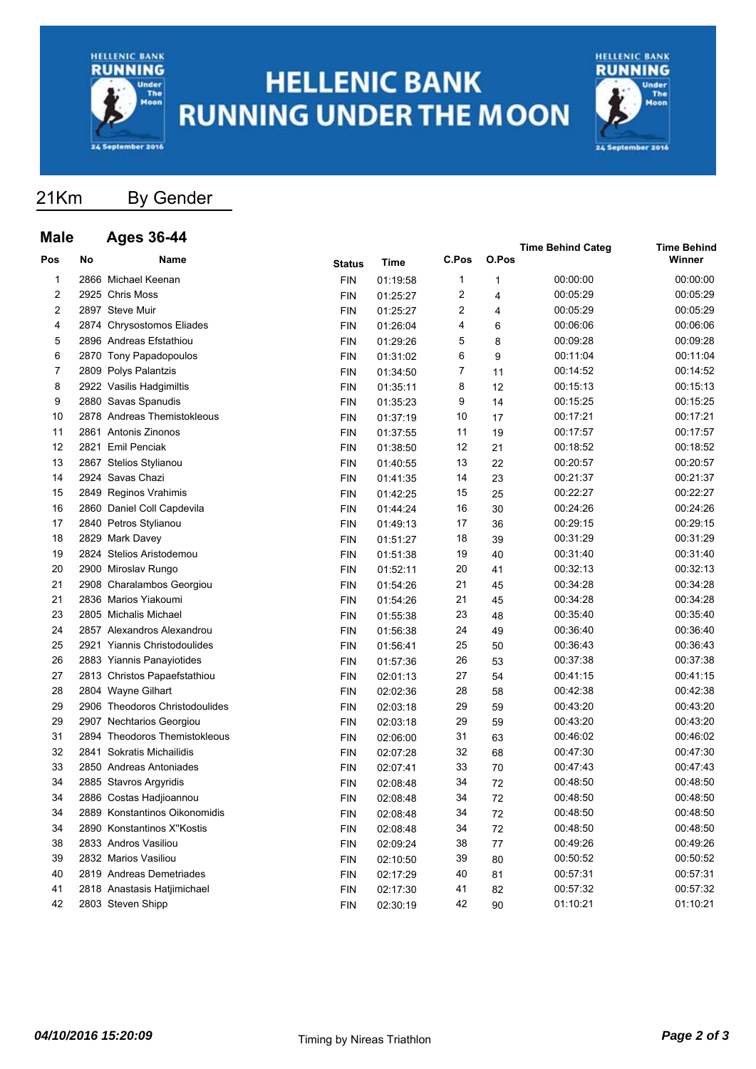

# **HELLENIC BANK RUNNING UNDER THE MOON**



# 21Km By Gender

#### **Male Ages 36-44**

| Mala |    | дуеэ эр-44                     |               |          |       |       | <b>Time Behind Categ</b> | <b>Time Behind</b> |
|------|----|--------------------------------|---------------|----------|-------|-------|--------------------------|--------------------|
| Pos  | No | Name                           | <b>Status</b> | Time     | C.Pos | O.Pos |                          | Winner             |
| 1    |    | 2866 Michael Keenan            | <b>FIN</b>    | 01:19:58 | 1     | 1     | 00:00:00                 | 00:00:00           |
| 2    |    | 2925 Chris Moss                | <b>FIN</b>    | 01:25:27 | 2     | 4     | 00:05:29                 | 00:05:29           |
| 2    |    | 2897 Steve Muir                | <b>FIN</b>    | 01:25:27 | 2     | 4     | 00:05:29                 | 00:05:29           |
| 4    |    | 2874 Chrysostomos Eliades      | <b>FIN</b>    | 01:26:04 | 4     | 6     | 00:06:06                 | 00:06:06           |
| 5    |    | 2896 Andreas Efstathiou        | <b>FIN</b>    | 01:29:26 | 5     | 8     | 00:09:28                 | 00:09:28           |
| 6    |    | 2870 Tony Papadopoulos         | <b>FIN</b>    | 01:31:02 | 6     | 9     | 00:11:04                 | 00:11:04           |
| 7    |    | 2809 Polys Palantzis           | <b>FIN</b>    | 01:34:50 | 7     | 11    | 00:14:52                 | 00:14:52           |
| 8    |    | 2922 Vasilis Hadgimiltis       | <b>FIN</b>    | 01:35:11 | 8     | 12    | 00:15:13                 | 00:15:13           |
| 9    |    | 2880 Savas Spanudis            | <b>FIN</b>    | 01:35:23 | 9     | 14    | 00:15:25                 | 00:15:25           |
| 10   |    | 2878 Andreas Themistokleous    | <b>FIN</b>    | 01:37:19 | 10    | 17    | 00:17:21                 | 00:17:21           |
| 11   |    | 2861 Antonis Zinonos           | <b>FIN</b>    | 01:37:55 | 11    | 19    | 00:17:57                 | 00:17:57           |
| 12   |    | 2821 Emil Penciak              | <b>FIN</b>    | 01:38:50 | 12    | 21    | 00:18:52                 | 00:18:52           |
| 13   |    | 2867 Stelios Stylianou         | <b>FIN</b>    | 01:40:55 | 13    | 22    | 00:20:57                 | 00:20:57           |
| 14   |    | 2924 Savas Chazi               | <b>FIN</b>    | 01:41:35 | 14    | 23    | 00:21:37                 | 00:21:37           |
| 15   |    | 2849 Reginos Vrahimis          | <b>FIN</b>    | 01:42:25 | 15    | 25    | 00:22:27                 | 00:22:27           |
| 16   |    | 2860 Daniel Coll Capdevila     | <b>FIN</b>    | 01:44:24 | 16    | 30    | 00:24:26                 | 00:24:26           |
| 17   |    | 2840 Petros Stylianou          | <b>FIN</b>    | 01:49:13 | 17    | 36    | 00:29:15                 | 00:29:15           |
| 18   |    | 2829 Mark Davey                | <b>FIN</b>    | 01:51:27 | 18    | 39    | 00:31:29                 | 00:31:29           |
| 19   |    | 2824 Stelios Aristodemou       | <b>FIN</b>    | 01:51:38 | 19    | 40    | 00:31:40                 | 00:31:40           |
| 20   |    | 2900 Miroslav Rungo            | <b>FIN</b>    | 01:52:11 | 20    | 41    | 00:32:13                 | 00:32:13           |
| 21   |    | 2908 Charalambos Georgiou      | <b>FIN</b>    | 01:54:26 | 21    | 45    | 00:34:28                 | 00:34:28           |
| 21   |    | 2836 Marios Yiakoumi           | <b>FIN</b>    | 01:54:26 | 21    | 45    | 00:34:28                 | 00:34:28           |
| 23   |    | 2805 Michalis Michael          | <b>FIN</b>    | 01:55:38 | 23    | 48    | 00:35:40                 | 00:35:40           |
| 24   |    | 2857 Alexandros Alexandrou     | <b>FIN</b>    | 01:56:38 | 24    | 49    | 00:36:40                 | 00:36:40           |
| 25   |    | 2921 Yiannis Christodoulides   | <b>FIN</b>    | 01:56:41 | 25    | 50    | 00:36:43                 | 00:36:43           |
| 26   |    | 2883 Yiannis Panayiotides      | <b>FIN</b>    | 01:57:36 | 26    | 53    | 00:37:38                 | 00:37:38           |
| 27   |    | 2813 Christos Papaefstathiou   | <b>FIN</b>    | 02:01:13 | 27    | 54    | 00:41:15                 | 00:41:15           |
| 28   |    | 2804 Wayne Gilhart             | <b>FIN</b>    | 02:02:36 | 28    | 58    | 00:42:38                 | 00:42:38           |
| 29   |    | 2906 Theodoros Christodoulides | <b>FIN</b>    | 02:03:18 | 29    | 59    | 00:43:20                 | 00:43:20           |
| 29   |    | 2907 Nechtarios Georgiou       | <b>FIN</b>    | 02:03:18 | 29    | 59    | 00:43:20                 | 00:43:20           |
| 31   |    | 2894 Theodoros Themistokleous  | <b>FIN</b>    | 02:06:00 | 31    | 63    | 00:46:02                 | 00:46:02           |
| 32   |    | 2841 Sokratis Michailidis      | <b>FIN</b>    | 02:07:28 | 32    | 68    | 00:47:30                 | 00:47:30           |
| 33   |    | 2850 Andreas Antoniades        | <b>FIN</b>    | 02:07:41 | 33    | 70    | 00:47:43                 | 00:47:43           |
| 34   |    | 2885 Stavros Argyridis         | <b>FIN</b>    | 02:08:48 | 34    | 72    | 00:48:50                 | 00:48:50           |
| 34   |    | 2886 Costas Hadjioannou        | <b>FIN</b>    | 02:08:48 | 34    | 72    | 00:48:50                 | 00:48:50           |
| 34   |    | 2889 Konstantinos Oikonomidis  | <b>FIN</b>    | 02:08:48 | 34    | 72    | 00:48:50                 | 00:48:50           |
| 34   |    | 2890 Konstantinos X"Kostis     | <b>FIN</b>    | 02:08:48 | 34    | 72    | 00:48:50                 | 00:48:50           |
| 38   |    | 2833 Andros Vasiliou           | <b>FIN</b>    | 02:09:24 | 38    | 77    | 00:49:26                 | 00:49:26           |
| 39   |    | 2832 Marios Vasiliou           | <b>FIN</b>    | 02:10:50 | 39    | 80    | 00:50:52                 | 00:50:52           |
| 40   |    | 2819 Andreas Demetriades       | <b>FIN</b>    | 02:17:29 | 40    | 81    | 00:57:31                 | 00:57:31           |
| 41   |    | 2818 Anastasis Hatjimichael    | <b>FIN</b>    | 02:17:30 | 41    | 82    | 00:57:32                 | 00:57:32           |
| 42   |    | 2803 Steven Shipp              | <b>FIN</b>    | 02:30:19 | 42    | 90    | 01:10:21                 | 01:10:21           |
|      |    |                                |               |          |       |       |                          |                    |